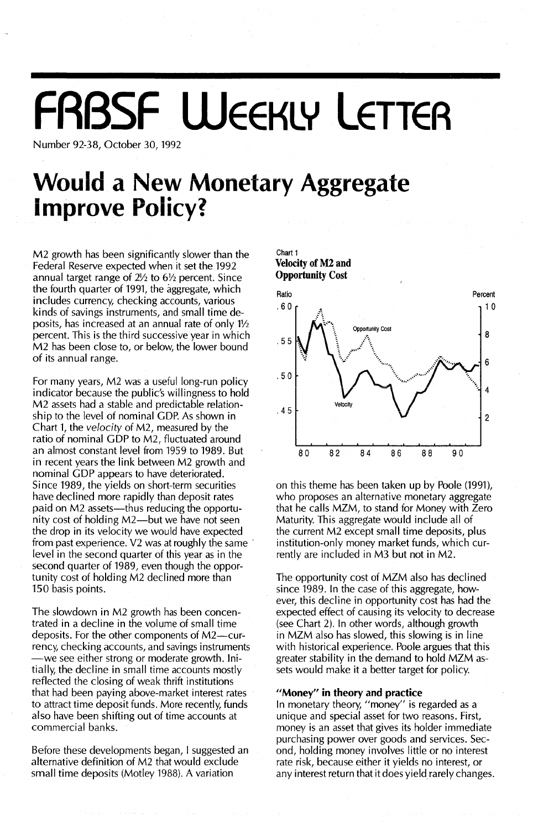# **FRBSF WEEKLY LETTER**

Chart 1

Number 92-38, October 30, 1992

### **Would a New Monetary Aggregate** *Improve Policy* **Improve Policy?**

M2 growth has been significantly slower than the Federal Reserve expected when it set the 1992 annual target range of 2% to 6% percent. Since the fourth quarter of 1991, the aggregate, which includes currency, checking accounts, various kinds of savings instruments, and small time deposits, has increased at an annual rate of only  $1\frac{1}{2}$ percent. This is the third successive year in which M2 has been close to, or below, the lower bound of its annual range.

For many years, M2 was a useful long-run policy indicator because the public's willingness to hold M2 assets had a stable and predictable relationship to the level of nominal GDP. As shown in Chart 1, the *velocity* of M2, measured by the ratio of nominal GDP to M2, fluctuated around an almost constant level from 1959 to 1989. But in recent years the link between M2 growth and nominal GDP appears to have deteriorated. Since 1989, the yields on short-term securities have declined more rapidly than deposit rates paid on M2 assets-thus reducing the opportunity cost of holding M2-but we have not seen the drop in its velocity we would have expected from past experience. V2 was at roughly the same' level in the second quarter of this year as in the second quarter of 1989, even though the opportunity cost of holding M2 declined more than 150 basis points.

The slowdown in M2 growth has been concentrated in a decline in the volume of small time deposits. For the other components of M2-currency, checking accounts, and savings instruments -we see either strong or moderate growth. Initially, the decline in small time accounts mostly reflected the closing of weak thrift institutions that had been paying above-market interest rates to attract time deposit funds. More recently, funds also have been shifting out of time accounts at commercial banks.

Before these developments began, I suggested an alternative definition of M2 that would exclude small time deposits (Motley 1988). A variation



on this theme has been taken up by Poole (1991), who proposes an alternative monetary aggregate that he calls MZM, to stand for Money with Zero Maturity. This aggregate would include all of the current M2 except small time deposits, plus institution-only money market funds, which currently are included in M3 but not in M2.

The opportunity cost of MZM also has declined since 1989. In the case of this aggregate, however, this decline in opportunity cost has had the expected effect of causing its velocity to decrease (see Chart 2). In other words, although growth in MZM also has slowed, this slowing is in line with historical experience. Poole argues that this greater stability in the demand to hold MZM assets would make it a better target for policy.

#### "Money" in theory and practice

In monetary theory, "money" is regarded as a unique and special asset for two reasons. First, money is an asset that gives its holder immediate purchasing power over goods and services. Second, holding money involves little or no interest rate risk, because either it yields no interest, or any interest return that it does yield rarely changes.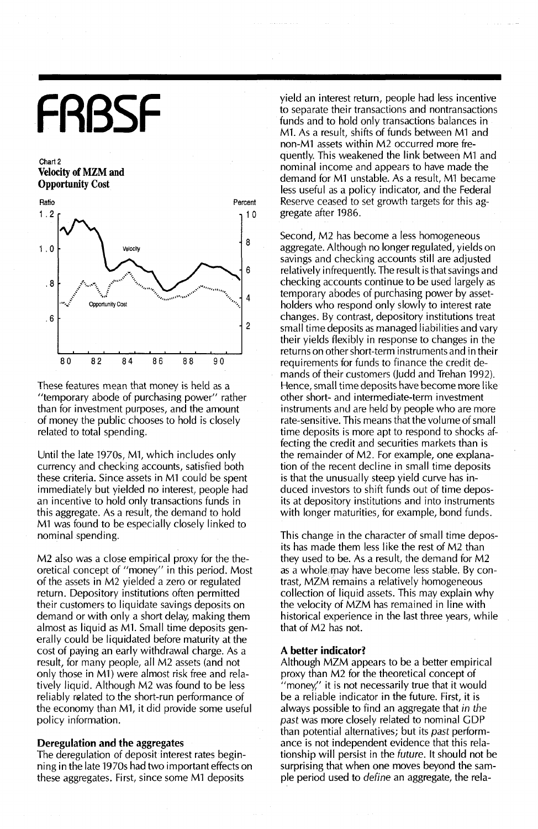# **FRBSF**

Chart 2 **Velocity ofMZM and Opportunity** Cost



**These features mean that money is held as a** "temporary abode of purchasing power" rather than for investment purposes, and the amount of money the public chooses to hold is closely related to total spending.

Until the late 1970s, M1, which includes only currency and checking accounts, satisfied both these criteria. Since assets in M1 could be spent immediately but yielded no interest, people had an incentive to hold only transactions funds in this aggregate. As a result, the demand to hold M1 was found to be especially closely linked to nominal spending.

M2 also was a close empirical proxy for the theoretical concept of "money" in this period. Most of the assets in M2 yielded a zero or regulated return. Depository institutions often permitted their customers to liquidate savings deposits on demand or with only a short delay, making them almost as liquid as M1. Small time deposits generally could be liquidated before maturity at the cost of paying an early withdrawal charge. As a result, for many people, all M2 assets (and not only those in M1) were almost risk free and relatively liquid. Although M2 was found to be less reliably related to the short-run performance of the economy than M1, it did provide some useful policy information.

#### **Deregulation and the** aggregates

The deregulation of deposit interest rates beginning in the late 1970s had two important effects on these aggregates. First, since some M1 deposits

yield an interest return, people had less incentive to separate their transactions and nontransactions funds and to hold only transactions balances in M1. As a result, shifts of funds between M1 and non-M1 assets within M2 occurred more frequently. This weakened the link between M1 and nominal income and appears to have made the demand for M1 unstable. As a result, Ml became less useful as a policy indicator, and the Federal **Reserve** ceased to set growth targets for this aggregate after 1986.

Second, M2 has become a less homogeneous aggregate. Although no longer regulated, yields on savings and checking accounts still are adjusted relatively infrequently. The result is that savings and checking accounts continue to be used largely as temporary abodes of purchasing power by assetholders who respond only slowly to interest rate changes. By contrast, depository institutions treat small time deposits as managed liabilities and vary their yields flexibly in response to changes in the returns on other short-term instruments and in their requirements for funds to finance the credit demands of their customers (Judd and Trehan 1992). Hence, small time deposits have become more like other short- and intermediate-term investment instruments and are held by people who are more rate-sensitive. This means that the volume of small time deposits is more apt to respond to shocks affecting the credit and securities markets than is the remainder of M2. For example, one explanation of the recent decline in small time deposits is that the unusually steep yield curve has induced investors to shift funds out of time deposits at depository institutions and into instruments with longer maturities, for example, bond funds.

This change in the character of small time deposits has made them less like the rest of M2 than they used to be. As a result, the demand for M2 as a whole may have become less stable. By contrast, MZM remains a relatively homogeneous collection of liquid assets. This may explain why the velocity of MZM has remained in line with historical experience in the last three years, while that of M2 has not.

#### **A better indicator?**

Although MZM appears to be a better empirical proxy than M2 for the theoretical concept of "money;' it is not necessarily true that it would be a reliable indicator in the future. First, it is always possible to find an aggregate that in the *past* was more closely related to nominal GDP than potential alternatives; but its *past* performance is not independent evidence that this relationship will persist in the future. It should not be surprising that when one moves beyond the sample period used to define an aggregate, the rela-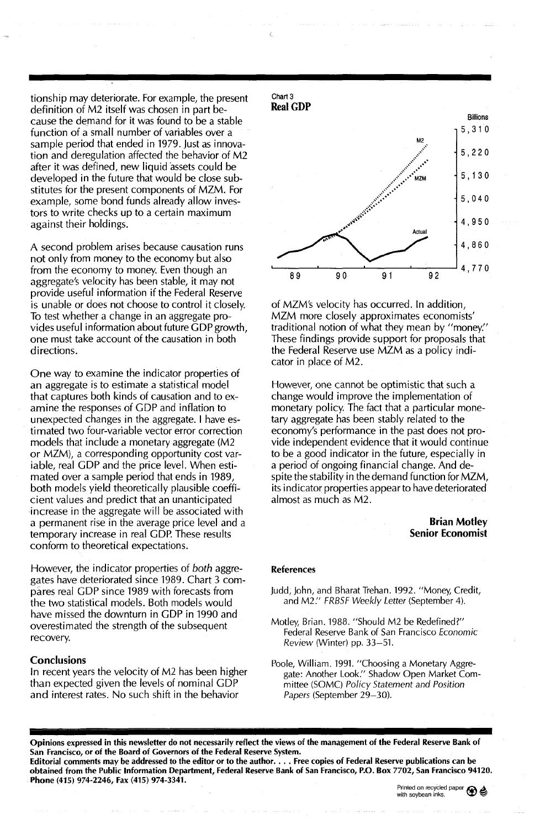tionship may deteriorate. For example, the present definition of M2 itself was chosen in part because the demand for it was found to be a stable function of a small number of variables over a sample period that ended in 1979. Just as innovation and deregulation affected the behavior of M2 after it was defined, new liquid assets could be developed in the future that would be close substitutes for the present components of MZM. For example, some bond funds already allow investors to write checks up to a certain maximum against their holdings.

A second problem arises because causation runs not only from money to the economy but also from the economy to money. Even though an aggregate's velocity has been stable, it may not provide useful information if the Federal Reserve is unable or does not choose to control it closely. To test whether a change in an aggregate provides useful information about future GOP growth, one must take account of the causation in both directions.

One way to examine the indicator properties of an aggregate is to estimate a statistical model that captures both kinds of causation and to examine the responses of GOP and inflation to unexpected changes in the aggregate. I have estimated two four-variable vector error correction models that include a monetary aggregate (M2 or MZM), a corresponding opportunity cost variable, real GOP and the price level. When estimated over a sample period that ends in 1989, both models yield theoretically plausible coefficient values and predict that an unanticipated increase in the aggregate will be associated with a permanent rise in the average price level and a temporary increase in real GOP. These results conform to theoretical expectations.

However, the indicator properties of *both* aggregates have deteriorated since 1989. Chart 3 compares real GOP since 1989 with forecasts from the two statistical models. Both models would have missed the downturn in GOP in 1990 and overestimated the strength of the subsequent recovery.

#### **Conclusions**

In recent years the velocity of M2 has been higher than expected given the levels of nominal GOP and interest rates. No such shift in the behavior



of MZM's velocity has occurred. In addition, MZM more closely approximates economists' traditional notion of what they mean by "money:' These findings provide support for proposals that the Federal Reserve use MZM as a policy indicator in place of M2.

However, one cannot be optimistic that such a change would improve the implementation of monetary policy. The fact that a particular monetary aggregate has been stably related to the economy's performance in the past does not provide independent evidence that it would continue to be a good indicator in the future, especially in a period of ongoing financial change. And despite the stability in the demand function for MZM, its indicator properties appear to have deteriorated almost as much as M2.

#### Brian Motley Senior Economist

#### References

- Judd, John, and Bharat Trehan. 1992. "Money, Credit, and M2:' FRBSF Weekly Letter (September 4).
- Motley, Brian. 1988. "Should M2 be Redefined?" Federal Reserve Bank of San Francisco Economic Review (Winter) pp. 33-51.
- Poole, William. 1991. "Choosing a Monetary Aggregate: Another Look." Shadow Open Market Committee (SOMC) Policy Statement and Position Papers (September 29-30).

Opinions expressed in this newsletter do not necessarily reflect the views of the management of the Federal Reserve Bank of San Francisco, or of the Board of Governors of the Federal Reserve System. Editorial comments may be addressed to the editor or to the author.... Free copies of Federal Reserve publications can be obtained from the Public Information Department, Federal Reserve Bank of San Francisco, P.O. Box 7702, San Francisco 94120. Phone (415) 974-2246, Fax (415) 974-3341.